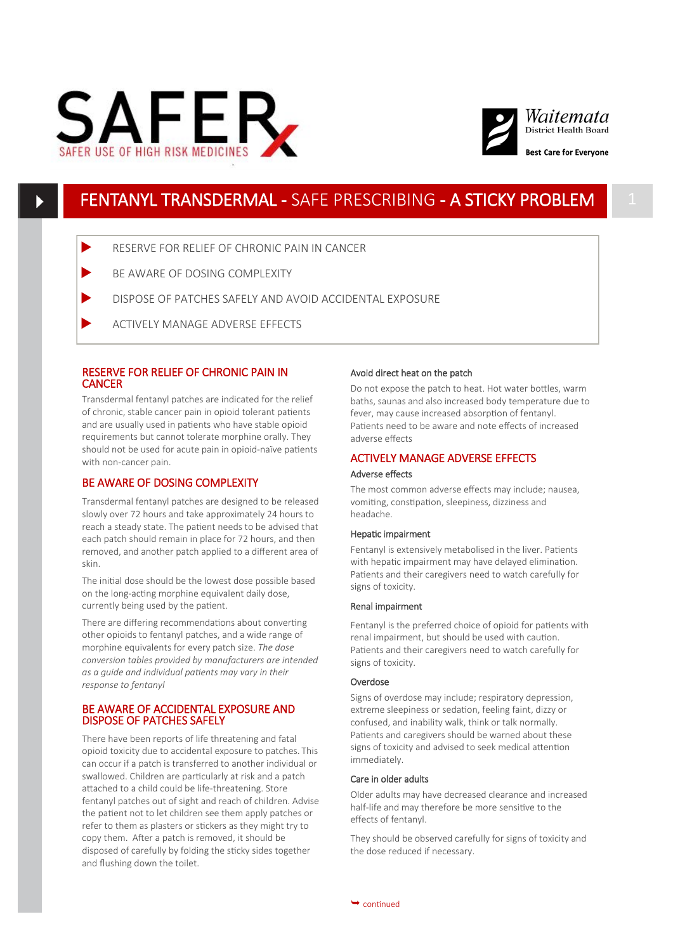



# FENTANYL TRANSDERMAL - SAFE PRESCRIBING - A STICKY PROBLEM

- RESERVE FOR RELIEF OF CHRONIC PAIN IN CANCER
- BE AWARE OF DOSING COMPLEXITY
- DISPOSE OF PATCHES SAFELY AND AVOID ACCIDENTAL EXPOSURE
- ACTIVELY MANAGE ADVERSE EFFECTS

### RESERVE FOR RELIEF OF CHRONIC PAIN IN **CANCER**

Transdermal fentanyl patches are indicated for the relief of chronic, stable cancer pain in opioid tolerant patients and are usually used in patients who have stable opioid requirements but cannot tolerate morphine orally. They should not be used for acute pain in opioid-naïve patients with non-cancer pain.

### BE AWARE OF DOSING COMPLEXITY

Transdermal fentanyl patches are designed to be released slowly over 72 hours and take approximately 24 hours to reach a steady state. The patient needs to be advised that each patch should remain in place for 72 hours, and then removed, and another patch applied to a different area of skin.

The initial dose should be the lowest dose possible based on the long-acting morphine equivalent daily dose, currently being used by the patient.

There are differing recommendations about converting other opioids to fentanyl patches, and a wide range of morphine equivalents for every patch size. *The dose conversion tables provided by manufacturers are intended as a guide and individual patients may vary in their response to fentanyl*

### BE AWARE OF ACCIDENTAL EXPOSURE AND DISPOSE OF PATCHES SAFELY

There have been reports of life threatening and fatal opioid toxicity due to accidental exposure to patches. This can occur if a patch is transferred to another individual or swallowed. Children are particularly at risk and a patch attached to a child could be life-threatening. Store fentanyl patches out of sight and reach of children. Advise the patient not to let children see them apply patches or refer to them as plasters or stickers as they might try to copy them. After a patch is removed, it should be disposed of carefully by folding the sticky sides together and flushing down the toilet.

#### Avoid direct heat on the patch

Do not expose the patch to heat. Hot water bottles, warm baths, saunas and also increased body temperature due to fever, may cause increased absorption of fentanyl. Patients need to be aware and note effects of increased adverse effects

# ACTIVELY MANAGE ADVERSE EFFECTS

## Adverse effects

The most common adverse effects may include; nausea, vomiting, constipation, sleepiness, dizziness and headache.

#### Hepatic impairment

Fentanyl is extensively metabolised in the liver. Patients with hepatic impairment may have delayed elimination. Patients and their caregivers need to watch carefully for signs of toxicity.

#### Renal impairment

Fentanyl is the preferred choice of opioid for patients with renal impairment, but should be used with caution. Patients and their caregivers need to watch carefully for signs of toxicity.

#### Overdose

Signs of overdose may include; respiratory depression, extreme sleepiness or sedation, feeling faint, dizzy or confused, and inability walk, think or talk normally. Patients and caregivers should be warned about these signs of toxicity and advised to seek medical attention immediately.

#### Care in older adults

Older adults may have decreased clearance and increased half-life and may therefore be more sensitive to the effects of fentanyl.

They should be observed carefully for signs of toxicity and the dose reduced if necessary.